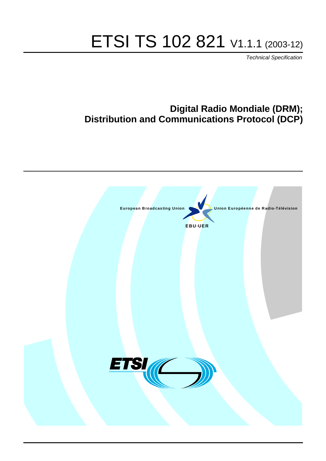# ETSI TS 102 821 V1.1.1 (2003-12)

Technical Specification

# **Digital Radio Mondiale (DRM); Distribution and Communications Protocol (DCP)**

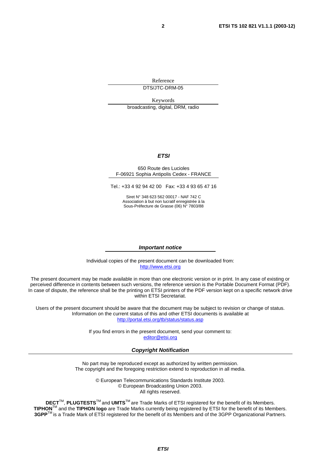Reference DTS/JTC-DRM-05

Keywords broadcasting, digital, DRM, radio

#### **ETSI**

#### 650 Route des Lucioles F-06921 Sophia Antipolis Cedex - FRANCE

Tel.: +33 4 92 94 42 00 Fax: +33 4 93 65 47 16

Siret N° 348 623 562 00017 - NAF 742 C Association à but non lucratif enregistrée à la Sous-Préfecture de Grasse (06) N° 7803/88

#### **Important notice**

Individual copies of the present document can be downloaded from: [http://www.etsi.org](http://www.etsi.org/)

The present document may be made available in more than one electronic version or in print. In any case of existing or perceived difference in contents between such versions, the reference version is the Portable Document Format (PDF). In case of dispute, the reference shall be the printing on ETSI printers of the PDF version kept on a specific network drive within ETSI Secretariat.

Users of the present document should be aware that the document may be subject to revision or change of status. Information on the current status of this and other ETSI documents is available at <http://portal.etsi.org/tb/status/status.asp>

> If you find errors in the present document, send your comment to: [editor@etsi.org](mailto:editor@etsi.org)

#### **Copyright Notification**

No part may be reproduced except as authorized by written permission. The copyright and the foregoing restriction extend to reproduction in all media.

> © European Telecommunications Standards Institute 2003. © European Broadcasting Union 2003. All rights reserved.

**DECT**TM, **PLUGTESTS**TM and **UMTS**TM are Trade Marks of ETSI registered for the benefit of its Members. **TIPHON**TM and the **TIPHON logo** are Trade Marks currently being registered by ETSI for the benefit of its Members. **3GPP**TM is a Trade Mark of ETSI registered for the benefit of its Members and of the 3GPP Organizational Partners.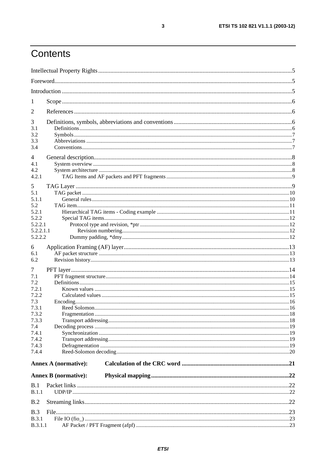# Contents

| 1                          |                             |  |
|----------------------------|-----------------------------|--|
| 2                          |                             |  |
| 3                          |                             |  |
| 3.1                        |                             |  |
| 3.2                        |                             |  |
| 3.3<br>3.4                 |                             |  |
| 4                          |                             |  |
| 4.1                        |                             |  |
| 4.2                        |                             |  |
| 4.2.1                      |                             |  |
| 5                          |                             |  |
| 5.1<br>5.1.1               |                             |  |
| 5.2                        |                             |  |
| 5.2.1                      |                             |  |
| 5.2.2                      |                             |  |
| 5.2.2.1                    |                             |  |
| 5.2.2.1.1<br>5.2.2.2       |                             |  |
|                            |                             |  |
| 6<br>6.1                   |                             |  |
| 6.2                        |                             |  |
|                            |                             |  |
| 7<br>7.1                   |                             |  |
| 7.2                        |                             |  |
| 7.2.1                      |                             |  |
| 7.2.2                      |                             |  |
| 7.3                        |                             |  |
| 7.3.1                      |                             |  |
| 7.3.2<br>7.3.3             |                             |  |
| 7.4                        |                             |  |
| 7.4.1                      |                             |  |
| 7.4.2                      |                             |  |
| 7.4.3                      |                             |  |
| 7.4.4                      |                             |  |
|                            | <b>Annex A (normative):</b> |  |
|                            | <b>Annex B</b> (normative): |  |
| B.1                        |                             |  |
| <b>B.1.1</b>               |                             |  |
| B.2                        |                             |  |
|                            |                             |  |
| <b>B.3</b><br><b>B.3.1</b> |                             |  |
| B.3.1.1                    |                             |  |
|                            |                             |  |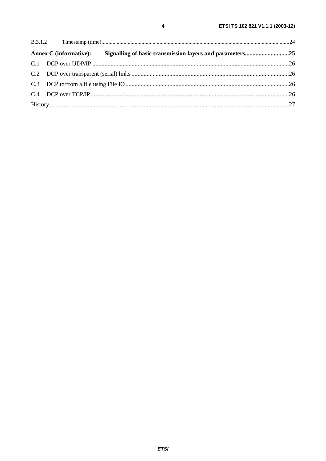$\overline{\mathbf{4}}$ 

 $B.3.1.2$ 

 $C.1$ 

 $C.2$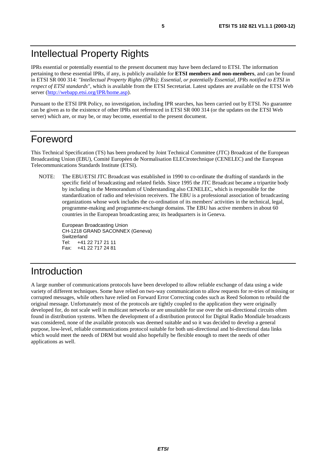# Intellectual Property Rights

IPRs essential or potentially essential to the present document may have been declared to ETSI. The information pertaining to these essential IPRs, if any, is publicly available for **ETSI members and non-members**, and can be found in ETSI SR 000 314: *"Intellectual Property Rights (IPRs); Essential, or potentially Essential, IPRs notified to ETSI in respect of ETSI standards"*, which is available from the ETSI Secretariat. Latest updates are available on the ETSI Web server ([http://webapp.etsi.org/IPR/home.asp\)](http://webapp.etsi.org/IPR/home.asp).

Pursuant to the ETSI IPR Policy, no investigation, including IPR searches, has been carried out by ETSI. No guarantee can be given as to the existence of other IPRs not referenced in ETSI SR 000 314 (or the updates on the ETSI Web server) which are, or may be, or may become, essential to the present document.

### Foreword

This Technical Specification (TS) has been produced by Joint Technical Committee (JTC) Broadcast of the European Broadcasting Union (EBU), Comité Européen de Normalisation ELECtrotechnique (CENELEC) and the European Telecommunications Standards Institute (ETSI).

NOTE: The EBU/ETSI JTC Broadcast was established in 1990 to co-ordinate the drafting of standards in the specific field of broadcasting and related fields. Since 1995 the JTC Broadcast became a tripartite body by including in the Memorandum of Understanding also CENELEC, which is responsible for the standardization of radio and television receivers. The EBU is a professional association of broadcasting organizations whose work includes the co-ordination of its members' activities in the technical, legal, programme-making and programme-exchange domains. The EBU has active members in about 60 countries in the European broadcasting area; its headquarters is in Geneva.

European Broadcasting Union CH-1218 GRAND SACONNEX (Geneva) Switzerland Tel: +41 22 717 21 11 Fax: +41 22 717 24 81

# Introduction

A large number of communications protocols have been developed to allow reliable exchange of data using a wide variety of different techniques. Some have relied on two-way communication to allow requests for re-tries of missing or corrupted messages, while others have relied on Forward Error Correcting codes such as Reed Solomon to rebuild the original message. Unfortunately most of the protocols are tightly coupled to the application they were originally developed for, do not scale well in multicast networks or are unsuitable for use over the uni-directional circuits often found in distribution systems. When the development of a distribution protocol for Digital Radio Mondiale broadcasts was considered, none of the available protocols was deemed suitable and so it was decided to develop a general purpose, low-level, reliable communications protocol suitable for both uni-directional and bi-directional data links which would meet the needs of DRM but would also hopefully be flexible enough to meet the needs of other applications as well.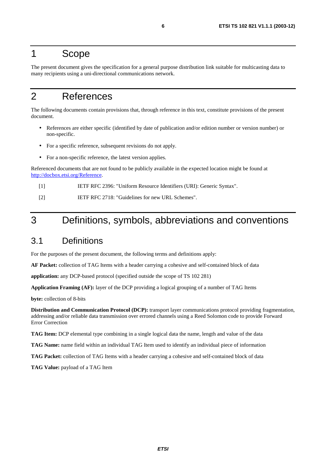### 1 Scope

The present document gives the specification for a general purpose distribution link suitable for multicasting data to many recipients using a uni-directional communications network.

# 2 References

The following documents contain provisions that, through reference in this text, constitute provisions of the present document.

- References are either specific (identified by date of publication and/or edition number or version number) or non-specific.
- For a specific reference, subsequent revisions do not apply.
- For a non-specific reference, the latest version applies.

Referenced documents that are not found to be publicly available in the expected location might be found at <http://docbox.etsi.org/Reference>.

[1] IETF RFC 2396: "Uniform Resource Identifiers (URI): Generic Syntax".

[2] IETF RFC 2718: "Guidelines for new URL Schemes".

# 3 Definitions, symbols, abbreviations and conventions

#### 3.1 Definitions

For the purposes of the present document, the following terms and definitions apply:

**AF Packet:** collection of TAG Items with a header carrying a cohesive and self-contained block of data

**application:** any DCP-based protocol (specified outside the scope of TS 102 281)

**Application Framing (AF):** layer of the DCP providing a logical grouping of a number of TAG Items

**byte:** collection of 8-bits

**Distribution and Communication Protocol (DCP):** transport layer communications protocol providing fragmentation, addressing and/or reliable data transmission over errored channels using a Reed Solomon code to provide Forward Error Correction

**TAG Item:** DCP elemental type combining in a single logical data the name, length and value of the data

**TAG Name:** name field within an individual TAG Item used to identify an individual piece of information

**TAG Packet:** collection of TAG Items with a header carrying a cohesive and self-contained block of data

**TAG Value:** payload of a TAG Item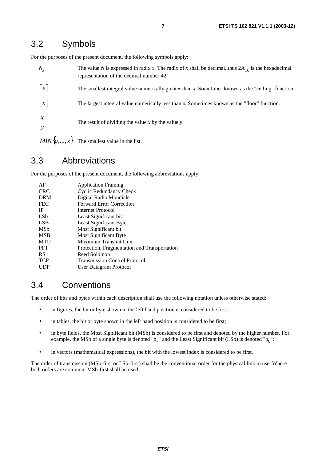### 3.2 Symbols

For the purposes of the present document, the following symbols apply:

| $N_{x}$         | The value N is expressed in radix x. The radix of x shall be decimal, thus $2A_{16}$ is the hexadecimal<br>representation of the decimal number 42. |
|-----------------|-----------------------------------------------------------------------------------------------------------------------------------------------------|
| $\vert x \vert$ | The smallest integral value numerically greater than $x$ . Sometimes known as the "ceiling" function.                                               |
| $\vert x \vert$ | The largest integral value numerically less than x. Sometimes known as the "floor" function.                                                        |
| $\chi$          | The result of dividing the value x by the value y.                                                                                                  |
|                 | $MIN{a, , z}$ The smallest value in the list.                                                                                                       |

### 3.3 Abbreviations

For the purposes of the present document, the following abbreviations apply:

| AF              | <b>Application Framing</b>                   |
|-----------------|----------------------------------------------|
| <b>CRC</b>      | Cyclic Redundancy Check                      |
| <b>DRM</b>      | Digital Radio Mondiale                       |
| <b>FEC</b>      | <b>Forward Error Correction</b>              |
| <b>IP</b>       | Internet Protocol                            |
| LS <sub>b</sub> | Least Significant bit                        |
| <b>LSB</b>      | Least Significant Byte                       |
| MSb             | Most Significant bit                         |
| <b>MSB</b>      | Most Significant Byte                        |
| <b>MTU</b>      | Maximum Transmit Unit                        |
| <b>PFT</b>      | Protection, Fragmentation and Transportation |
| <b>RS</b>       | Reed Solomon                                 |
| <b>TCP</b>      | <b>Transmission Control Protocol</b>         |
| <b>UDP</b>      | User Datagram Protocol                       |

### 3.4 Conventions

The order of bits and bytes within each description shall use the following notation unless otherwise stated:

- in figures, the bit or byte shown in the left hand position is considered to be first;
- in tables, the bit or byte shown in the left hand position is considered to be first;
- in byte fields, the Most Significant bit (MSb) is considered to be first and denoted by the higher number. For example, the MSb of a single byte is denoted " $b_7$ " and the Least Significant bit (LSb) is denoted " $b_0$ ";
- in vectors (mathematical expressions), the bit with the lowest index is considered to be first.

The order of transmission (MSb-first or LSb-first) shall be the conventional order for the physical link in use. Where both orders are common, MSb-first shall be used.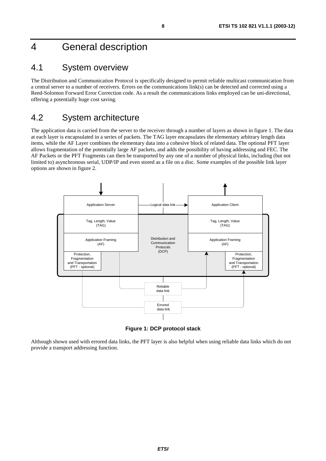# 4 General description

### 4.1 System overview

The Distribution and Communication Protocol is specifically designed to permit reliable multicast communication from a central server to a number of receivers. Errors on the communications link(s) can be detected and corrected using a Reed-Solomon Forward Error Correction code. As a result the communications links employed can be uni-directional, offering a potentially huge cost saving.

# 4.2 System architecture

The application data is carried from the server to the receiver through a number of layers as shown in figure 1. The data at each layer is encapsulated in a series of packets. The TAG layer encapsulates the elementary arbitrary length data items, while the AF Layer combines the elementary data into a cohesive block of related data. The optional PFT layer allows fragmentation of the potentially large AF packets, and adds the possibility of having addressing and FEC. The AF Packets or the PFT Fragments can then be transported by any one of a number of physical links, including (but not limited to) asynchronous serial, UDP/IP and even stored as a file on a disc. Some examples of the possible link layer options are shown in figure 2.



**Figure 1: DCP protocol stack** 

Although shown used with errored data links, the PFT layer is also helpful when using reliable data links which do not provide a transport addressing function.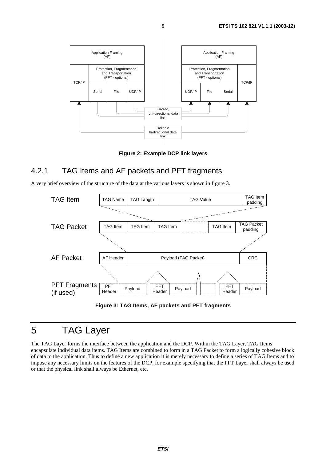

**Figure 2: Example DCP link layers** 

### 4.2.1 TAG Items and AF packets and PFT fragments

A very brief overview of the structure of the data at the various layers is shown in figure 3.



**Figure 3: TAG Items, AF packets and PFT fragments** 

# 5 TAG Layer

The TAG Layer forms the interface between the application and the DCP. Within the TAG Layer, TAG Items encapsulate individual data items. TAG Items are combined to form in a TAG Packet to form a logically cohesive block of data to the application. Thus to define a new application it is merely necessary to define a series of TAG Items and to impose any necessary limits on the features of the DCP, for example specifying that the PFT Layer shall always be used or that the physical link shall always be Ethernet, etc.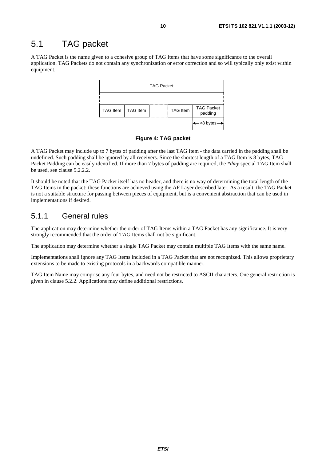# 5.1 TAG packet

A TAG Packet is the name given to a cohesive group of TAG Items that have some significance to the overall application. TAG Packets do not contain any synchronization or error correction and so will typically only exist within equipment.



#### **Figure 4: TAG packet**

A TAG Packet may include up to 7 bytes of padding after the last TAG Item - the data carried in the padding shall be undefined. Such padding shall be ignored by all receivers. Since the shortest length of a TAG Item is 8 bytes, TAG Packet Padding can be easily identified. If more than 7 bytes of padding are required, the *\*dmy* special TAG Item shall be used, see clause 5.2.2.2.

It should be noted that the TAG Packet itself has no header, and there is no way of determining the total length of the TAG Items in the packet: these functions are achieved using the AF Layer described later. As a result, the TAG Packet is not a suitable structure for passing between pieces of equipment, but is a convenient abstraction that can be used in implementations if desired.

### 5.1.1 General rules

The application may determine whether the order of TAG Items within a TAG Packet has any significance. It is very strongly recommended that the order of TAG Items shall not be significant.

The application may determine whether a single TAG Packet may contain multiple TAG Items with the same name.

Implementations shall ignore any TAG Items included in a TAG Packet that are not recognized. This allows proprietary extensions to be made to existing protocols in a backwards compatible manner.

TAG Item Name may comprise any four bytes, and need not be restricted to ASCII characters. One general restriction is given in clause 5.2.2. Applications may define additional restrictions.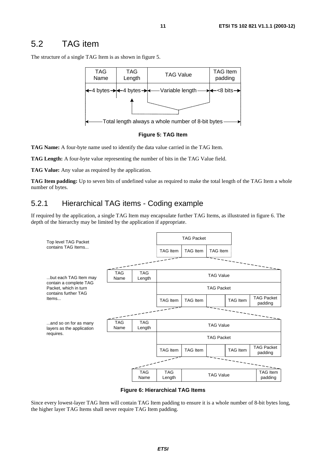### 5.2 TAG item

The structure of a single TAG Item is as shown in figure 5.





**TAG Name:** A four-byte name used to identify the data value carried in the TAG Item.

**TAG Length:** A four-byte value representing the number of bits in the TAG Value field.

**TAG Value:** Any value as required by the application.

**TAG Item padding:** Up to seven bits of undefined value as required to make the total length of the TAG Item a whole number of bytes.

### 5.2.1 Hierarchical TAG items - Coding example

If required by the application, a single TAG Item may encapsulate further TAG Items, as illustrated in figure 6. The depth of the hierarchy may be limited by the application if appropriate.



**Figure 6: Hierarchical TAG Items** 

Since every lowest-layer TAG Item will contain TAG Item padding to ensure it is a whole number of 8-bit bytes long, the higher layer TAG Items shall never require TAG Item padding.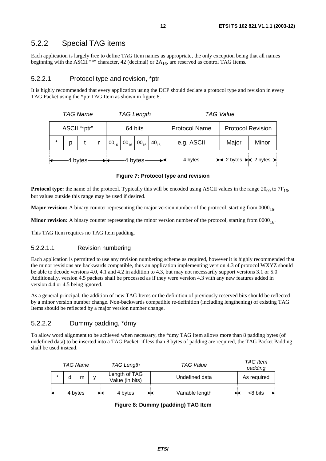#### 5.2.2 Special TAG items

Each application is largely free to define TAG Item names as appropriate, the only exception being that all names beginning with the ASCII "\*" character, 42 (decimal) or  $2A_{16}$ , are reserved as control TAG Items.

#### 5.2.2.1 Protocol type and revision, \*ptr

It is highly recommended that every application using the DCP should declare a protocol type and revision in every TAG Packet using the \*ptr TAG Item as shown in figure 8.

|         |              | <b>TAG Name</b><br><b>TAG Length</b> |  |         |  |                                                              |                      | <b>TAG Value</b> |                                                             |                          |  |
|---------|--------------|--------------------------------------|--|---------|--|--------------------------------------------------------------|----------------------|------------------|-------------------------------------------------------------|--------------------------|--|
|         | ASCII "*ptr" |                                      |  | 64 bits |  |                                                              | <b>Protocol Name</b> |                  |                                                             | <b>Protocol Revision</b> |  |
| $\star$ | p            |                                      |  |         |  | $00_{16}$ 00 <sub>16</sub> 00 <sub>16</sub> 40 <sub>16</sub> |                      | e.g. ASCII       | Major                                                       | Minor                    |  |
| 4 bytes |              |                                      |  |         |  | 4 bytes                                                      |                      | -4 bytes-        | $\rightarrow$ +2 bytes $\rightarrow$ +2 bytes $\rightarrow$ |                          |  |

#### **Figure 7: Protocol type and revision**

**Protocol type:** the name of the protocol. Typically this will be encoded using ASCII values in the range  $20_{00}$  to  $7F_{16}$ , but values outside this range may be used if desired.

**Major revision:** A binary counter representing the major version number of the protocol, starting from 0000<sub>16</sub>.

**Minor revision:** A binary counter representing the minor version number of the protocol, starting from  $0000_{16}$ .

This TAG Item requires no TAG Item padding.

#### 5.2.2.1.1 Revision numbering

Each application is permitted to use any revision numbering scheme as required, however it is highly recommended that the minor revisions are backwards compatible, thus an application implementing version 4.3 of protocol WXYZ should be able to decode versions 4.0, 4.1 and 4.2 in addition to 4.3, but may not necessarily support versions 3.1 or 5.0. Additionally, version 4.5 packets shall be processed as if they were version 4.3 with any new features added in version 4.4 or 4.5 being ignored.

As a general principal, the addition of new TAG Items or the definition of previously reserved bits should be reflected by a minor version number change. Non-backwards compatible re-definition (including lengthening) of existing TAG Items should be reflected by a major version number change.

#### 5.2.2.2 Dummy padding, \*dmy

To allow word alignment to be achieved when necessary, the \*dmy TAG Item allows more than 8 padding bytes (of undefined data) to be inserted into a TAG Packet: if less than 8 bytes of padding are required, the TAG Packet Padding shall be used instead.

| <b>TAG Name</b> |   |              | <b>TAG Value</b>                 | <b>TAG</b> Item<br>padding |                |
|-----------------|---|--------------|----------------------------------|----------------------------|----------------|
| d               | m | $\mathsf{V}$ | Length of TAG<br>Value (in bits) | Undefined data             | As required    |
| -4 bytes        |   |              | 4 bytes                          | Variable length            | $-$ 8 bits $-$ |

**Figure 8: Dummy (padding) TAG Item**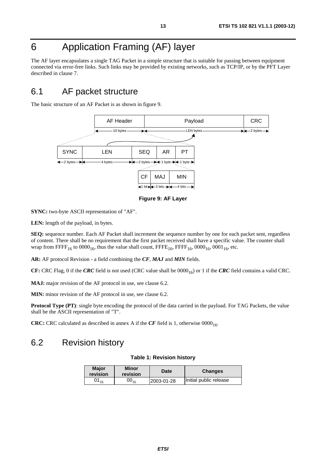# 6 Application Framing (AF) layer

The AF layer encapsulates a single TAG Packet in a simple structure that is suitable for passing between equipment connected via error-free links. Such links may be provided by existing networks, such as TCP/IP, or by the PFT Layer described in clause 7.

### 6.1 AF packet structure

The basic structure of an AF Packet is as shown in figure 9.



**Figure 9: AF Layer** 

**SYNC:** two-byte ASCII representation of "AF".

**LEN:** length of the payload, in bytes.

**SEQ:** sequence number. Each AF Packet shall increment the sequence number by one for each packet sent, regardless of content. There shall be no requirement that the first packet received shall have a specific value. The counter shall wrap from FFFF<sub>16</sub> to  $0000_{16}$ , thus the value shall count, FFFE<sub>16</sub>, FFFF<sub>16</sub>,  $0000_{16}$ ,  $0001_{16}$ , etc.

**AR:** AF protocol Revision - a field combining the *CF*, *MAJ* and *MIN* fields.

**CF:** CRC Flag, 0 if the *CRC* field is not used (CRC value shall be  $0000_{16}$ ) or 1 if the *CRC* field contains a valid CRC.

**MAJ:** major revision of the AF protocol in use, see clause 6.2.

**MIN:** minor revision of the AF protocol in use, see clause 6.2.

**Protocol Type (PT)**: single byte encoding the protocol of the data carried in the payload. For TAG Packets, the value shall be the ASCII representation of "T".

**CRC:** CRC calculated as described in annex A if the  $CF$  field is 1, otherwise 0000<sub>16</sub>.

#### 6.2 Revision history

#### **Table 1: Revision history**

| <b>Maior</b><br>revision | <b>Minor</b><br>revision | Date       | <b>Changes</b>         |
|--------------------------|--------------------------|------------|------------------------|
|                          | 00 $_{16}$               | 2003-01-28 | Initial public release |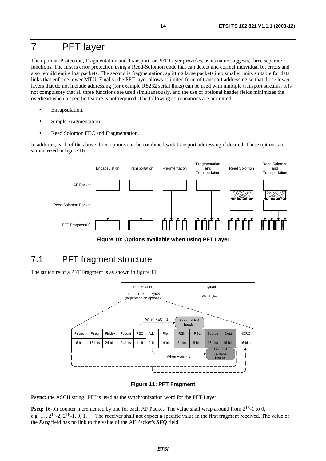# 7 PFT layer

The optional Protection, Fragmentation and Transport, or PFT Layer provides, as its name suggests, three separate functions. The first is error protection using a Reed-Solomon code that can detect and correct individual bit errors and also rebuild entire lost packets. The second is fragmentation, splitting large packets into smaller units suitable for data links that enforce lower MTU. Finally, the PFT layer allows a limited form of transport addressing so that those lower layers that do not include addressing (for example RS232 serial links) can be used with multiple transport streams. It is not compulsory that all three functions are used simultaneously, and the use of optional header fields minimizes the overhead when a specific feature is not required. The following combinations are permitted:

- Encapsulation.
- Simple Fragmentation.
- Reed Solomon FEC and Fragmentation.

In addition, each of the above three options can be combined with transport addressing if desired. These options are summarized in figure 10.



**Figure 10: Options available when using PFT Layer** 

# 7.1 PFT fragment structure

The structure of a PFT Fragment is as shown in figure 11.



#### **Figure 11: PFT Fragment**

**Psync:** the ASCII string "PF" is used as the synchronization word for the PFT Layer.

**Pseq:** 16-bit counter incremented by one for each AF Packet. The value shall wrap around from  $2^{16}$ -1 to 0, e.g.  $..., 2^{16}$ -2,  $2^{16}$ -1, 0, 1,  $...$  The receiver shall not expect a specific value in the first fragment received. The value of the *Pseq* field has no link to the value of the AF Packet's *SEQ* field.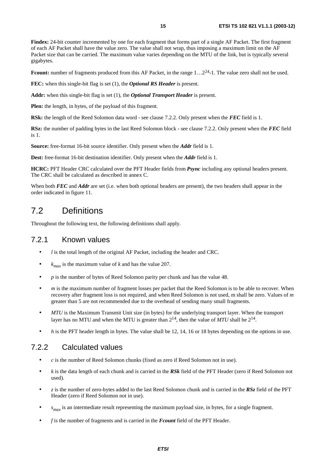**Findex:** 24-bit counter incremented by one for each fragment that forms part of a single AF Packet. The first fragment of each AF Packet shall have the value zero. The value shall not wrap, thus imposing a maximum limit on the AF Packet size that can be carried. The maximum value varies depending on the MTU of the link, but is typically several gigabytes.

Fcount: number of fragments produced from this AF Packet, in the range 1...2<sup>24</sup>-1. The value zero shall not be used.

**FEC:** when this single-bit flag is set (1), the *Optional RS Header* is present.

**Addr:** when this single-bit flag is set (1), the *Optional Transport Header* is present.

**Plen:** the length, in bytes, of the payload of this fragment.

**RSk:** the length of the Reed Solomon data word - see clause 7.2.2. Only present when the *FEC* field is 1.

**RSz:** the number of padding bytes in the last Reed Solomon block - see clause 7.2.2. Only present when the *FEC* field is 1.

**Source:** free-format 16-bit source identifier. Only present when the *Addr* field is 1.

**Dest:** free-format 16-bit destination identifier. Only present when the *Addr* field is 1.

**HCRC:** PFT Header CRC calculated over the PFT Header fields from *Psync* including any optional headers present. The CRC shall be calculated as described in annex C.

When both *FEC* and *Addr* are set (i.e. when both optional headers are present), the two headers shall appear in the order indicated in figure 11.

### 7.2 Definitions

Throughout the following text, the following definitions shall apply.

#### 7.2.1 Known values

- *l* is the total length of the original AF Packet, including the header and CRC.
- $k_{max}$  is the maximum value of *k* and has the value 207.
- *p* is the number of bytes of Reed Solomon parity per chunk and has the value 48.
- *m* is the maximum number of fragment losses per packet that the Reed Solomon is to be able to recover. When recovery after fragment loss is not required, and when Reed Solomon is not used, m shall be zero. Values of *m* greater than 5 are not recommended due to the overhead of sending many small fragments.
- *MTU* is the Maximum Transmit Unit size (in bytes) for the underlying transport layer. When the transport layer has no MTU and when the MTU is greater than  $2^{14}$ , then the value of *MTU* shall be  $2^{14}$ .
- *h* is the PFT header length in bytes. The value shall be 12, 14, 16 or 18 bytes depending on the options in use.

#### 7.2.2 Calculated values

- *c* is the number of Reed Solomon chunks (fixed as zero if Reed Solomon not in use).
- *k* is the data length of each chunk and is carried in the *RSk* field of the PFT Header (zero if Reed Solomon not used).
- *z* is the number of zero-bytes added to the last Reed Solomon chunk and is carried in the *RSz* field of the PFT Header (zero if Reed Solomon not in use).
- $s_{max}$  is an intermediate result representing the maximum payload size, in bytes, for a single fragment.
- *f* is the number of fragments and is carried in the *Fcount* field of the PFT Header.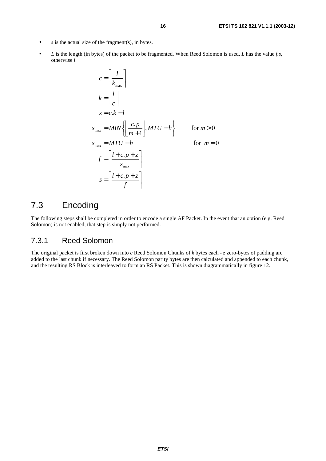- *s* is the actual size of the fragment(s), in bytes.
- *L* is the length (in bytes) of the packet to be fragmented. When Reed Solomon is used, *L* has the value *f.s*, otherwise *l*.

$$
c = \left[ \frac{l}{k_{\text{max}}} \right]
$$
  
\n
$$
k = \left[ \frac{l}{c} \right]
$$
  
\n
$$
z = c.k - l
$$
  
\n
$$
s_{\text{max}} = MIN \left\{ \left[ \frac{c.p}{m+1} \right], MTU - h \right\}
$$
 for  $m > 0$   
\n
$$
s_{\text{max}} = MTU - h
$$
 for  $m = 0$   
\n
$$
f = \left[ \frac{l + c.p + z}{s_{\text{max}}} \right]
$$
  
\n
$$
s = \left[ \frac{l + c.p + z}{f} \right]
$$

### 7.3 Encoding

The following steps shall be completed in order to encode a single AF Packet. In the event that an option (e.g. Reed Solomon) is not enabled, that step is simply not performed.

#### 7.3.1 Reed Solomon

The original packet is first broken down into *c* Reed Solomon Chunks of *k* bytes each - *z* zero-bytes of padding are added to the last chunk if necessary. The Reed Solomon parity bytes are then calculated and appended to each chunk, and the resulting RS Block is interleaved to form an RS Packet. This is shown diagrammatically in figure 12.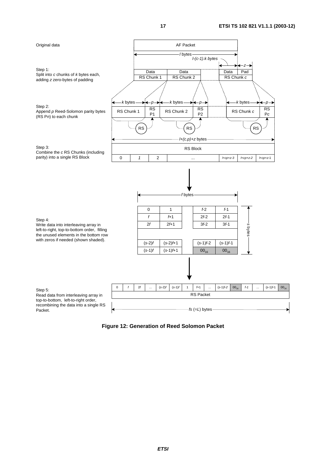

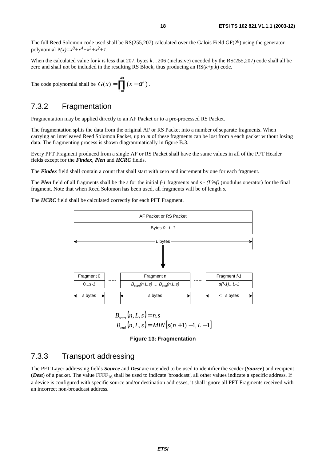The full Reed Solomon code used shall be RS(255,207) calculated over the Galois Field GF(28) using the generator polynomial  $P(x)=x^8+x^4+x^3+x^2+1$ .

When the calculated value for *k* is less that 207, bytes *k*…206 (inclusive) encoded by the RS(255,207) code shall all be zero and shall not be included in the resulting RS Block, thus producing an RS(*k*+*p*,*k*) code.

The code polynomial shall be  $G(x) = \prod_{i=1} (x -$ 48 1  $(x) = \prod_{i} (x - \alpha^{i})$ *i*  $G(x) = \prod (x - \alpha^i)$ .

#### 7.3.2 Fragmentation

Fragmentation may be applied directly to an AF Packet or to a pre-processed RS Packet.

The fragmentation splits the data from the original AF or RS Packet into a number of separate fragments. When carrying an interleaved Reed Solomon Packet, up to *m* of these fragments can be lost from a each packet without losing data. The fragmenting process is shown diagrammatically in figure B.3.

Every PFT Fragment produced from a single AF or RS Packet shall have the same values in all of the PFT Header fields except for the *Findex, Plen* and *HCRC* fields.

The *Findex* field shall contain a count that shall start with zero and increment by one for each fragment.

The *Plen* field of all fragments shall be the *s* for the initial *f-1* fragments and *s - (L%f)* (modulus operator) for the final fragment. Note that when Reed Solomon has been used, all fragments will be of length *s*.

The *HCRC* field shall be calculated correctly for each PFT Fragment.



**Figure 13: Fragmentation** 

#### 7.3.3 Transport addressing

The PFT Layer addressing fields *Source* and *Dest* are intended to be used to identifier the sender (*Source*) and recipient (*Dest*) of a packet. The value FFFF<sub>16</sub> shall be used to indicate 'broadcast', all other values indicate a specific address. If a device is configured with specific source and/or destination addresses, it shall ignore all PFT Fragments received with an incorrect non-broadcast address.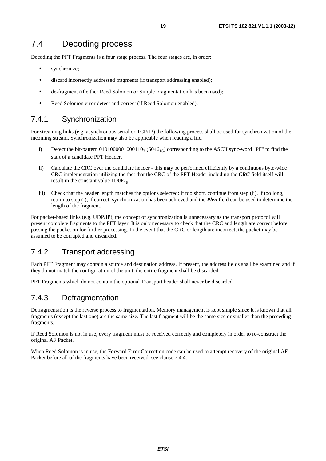### 7.4 Decoding process

Decoding the PFT Fragments is a four stage process. The four stages are, in order:

- synchronize;
- discard incorrectly addressed fragments (if transport addressing enabled);
- de-fragment (if either Reed Solomon or Simple Fragmentation has been used);
- Reed Solomon error detect and correct (if Reed Solomon enabled).

#### 7.4.1 Synchronization

For streaming links (e.g. asynchronous serial or TCP/IP) the following process shall be used for synchronization of the incoming stream. Synchronization may also be applicable when reading a file.

- i) Detect the bit-pattern  $0101000001000110<sub>2</sub>$  (5046<sub>16</sub>) corresponding to the ASCII sync-word "PF" to find the start of a candidate PFT Header.
- ii) Calculate the CRC over the candidate header this may be performed efficiently by a continuous byte-wide CRC implementation utilizing the fact that the CRC of the PFT Header including the *CRC* field itself will result in the constant value  $1DOF<sub>16</sub>$ .
- iii) Check that the header length matches the options selected: if too short, continue from step (ii), if too long, return to step (i), if correct, synchronization has been achieved and the *Plen* field can be used to determine the length of the fragment.

For packet-based links (e.g. UDP/IP), the concept of synchronization is unnecessary as the transport protocol will present complete fragments to the PFT layer. It is only necessary to check that the CRC and length are correct before passing the packet on for further processing. In the event that the CRC or length are incorrect, the packet may be assumed to be corrupted and discarded.

### 7.4.2 Transport addressing

Each PFT Fragment may contain a source and destination address. If present, the address fields shall be examined and if they do not match the configuration of the unit, the entire fragment shall be discarded.

PFT Fragments which do not contain the optional Transport header shall never be discarded.

### 7.4.3 Defragmentation

Defragmentation is the reverse process to fragmentation. Memory management is kept simple since it is known that all fragments (except the last one) are the same size. The last fragment will be the same size or smaller than the preceding fragments.

If Reed Solomon is not in use, every fragment must be received correctly and completely in order to re-construct the original AF Packet.

When Reed Solomon is in use, the Forward Error Correction code can be used to attempt recovery of the original AF Packet before all of the fragments have been received, see clause 7.4.4.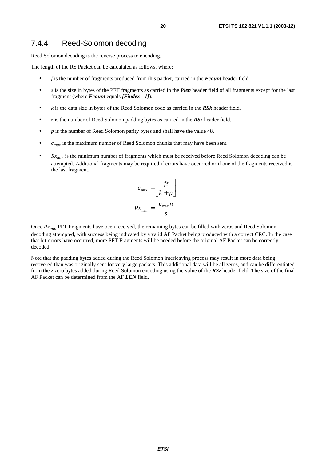#### 7.4.4 Reed-Solomon decoding

Reed Solomon decoding is the reverse process to encoding.

The length of the RS Packet can be calculated as follows, where:

- *f* is the number of fragments produced from this packet, carried in the *Fcount* header field.
- *s* is the size in bytes of the PFT fragments as carried in the *Plen* header field of all fragments except for the last fragment (where *Fcount* equals *[Findex - 1]*).
- *k* is the data size in bytes of the Reed Solomon code as carried in the *RSk* header field.
- *z* is the number of Reed Solomon padding bytes as carried in the *RSz* header field.
- *p* is the number of Reed Solomon parity bytes and shall have the value 48.
- $\bullet$  *c<sub>max</sub>* is the maximum number of Reed Solomon chunks that may have been sent.
- $Rx_{min}$  is the minimum number of fragments which must be received before Reed Solomon decoding can be attempted. Additional fragments may be required if errors have occurred or if one of the fragments received is the last fragment.

$$
c_{\max} = \left\lfloor \frac{fs}{k+p} \right\rfloor
$$

$$
Rx_{\min} = \left\lceil \frac{c_{\max} n}{s} \right\rceil
$$

Once  $Rx_{min}$  PFT Fragments have been received, the remaining bytes can be filled with zeros and Reed Solomon decoding attempted, with success being indicated by a valid AF Packet being produced with a correct CRC. In the case that bit-errors have occurred, more PFT Fragments will be needed before the original AF Packet can be correctly decoded.

Note that the padding bytes added during the Reed Solomon interleaving process may result in more data being recovered than was originally sent for very large packets. This additional data will be all zeros, and can be differentiated from the *z* zero bytes added during Reed Solomon encoding using the value of the *RSz* header field. The size of the final AF Packet can be determined from the AF *LEN* field.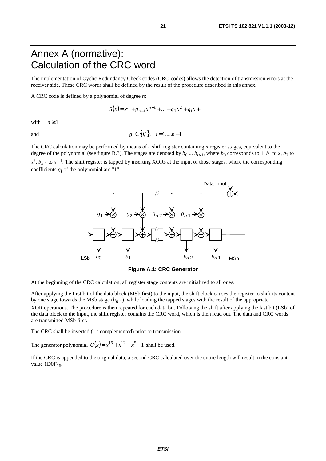# Annex A (normative): Calculation of the CRC word

The implementation of Cyclic Redundancy Check codes (CRC-codes) allows the detection of transmission errors at the receiver side. These CRC words shall be defined by the result of the procedure described in this annex.

A CRC code is defined by a polynomial of degree *n*:

$$
G(x) = xn + gn-1xn-1 + ... + g2x2 + g1x + 1
$$

with  $n \geq 1$ 

and  $g_i \in \{0,1\}, \quad i = 1,...,n-1$ 

The CRC calculation may be performed by means of a shift register containing *n* register stages, equivalent to the degree of the polynomial (see figure B.3). The stages are denoted by  $b_0 ... b_{n-1}$ , where  $b_0$  corresponds to 1,  $b_1$  to *x*,  $b_2$  to  $x^2$ ,  $b_{n-1}$  to  $x^{n-1}$ . The shift register is tapped by inserting XORs at the input of those stages, where the corresponding coefficients  $g_i$  of the polynomial are "1".



**Figure A.1: CRC Generator** 

At the beginning of the CRC calculation, all register stage contents are initialized to all ones.

After applying the first bit of the data block (MSb first) to the input, the shift clock causes the register to shift its content by one stage towards the MSb stage  $(b_{n-1})$ , while loading the tapped stages with the result of the appropriate XOR operations. The procedure is then repeated for each data bit. Following the shift after applying the last bit (LSb) of the data block to the input, the shift register contains the CRC word, which is then read out. The data and CRC words are transmitted MSb first.

The CRC shall be inverted (1's complemented) prior to transmission.

The generator polynomial  $G(x) = x^{16} + x^{12} + x^5 + 1$  shall be used.

If the CRC is appended to the original data, a second CRC calculated over the entire length will result in the constant value  $1DOF<sub>16</sub>$ .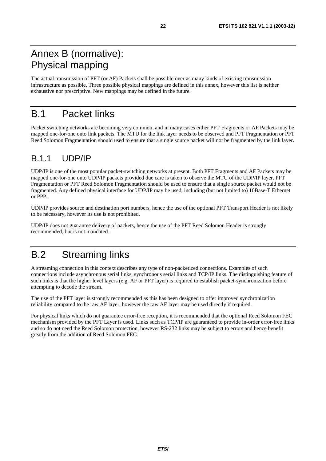# Annex B (normative): Physical mapping

The actual transmission of PFT (or AF) Packets shall be possible over as many kinds of existing transmission infrastructure as possible. Three possible physical mappings are defined in this annex, however this list is neither exhaustive nor prescriptive. New mappings may be defined in the future.

# B.1 Packet links

Packet switching networks are becoming very common, and in many cases either PFT Fragments or AF Packets may be mapped one-for-one onto link packets. The MTU for the link layer needs to be observed and PFT Fragmentation or PFT Reed Solomon Fragmentation should used to ensure that a single source packet will not be fragmented by the link layer.

# B.1.1 UDP/IP

UDP/IP is one of the most popular packet-switching networks at present. Both PFT Fragments and AF Packets may be mapped one-for-one onto UDP/IP packets provided due care is taken to observe the MTU of the UDP/IP layer. PFT Fragmentation or PFT Reed Solomon Fragmentation should be used to ensure that a single source packet would not be fragmented. Any defined physical interface for UDP/IP may be used, including (but not limited to) 10Base-T Ethernet or PPP.

UDP/IP provides source and destination port numbers, hence the use of the optional PFT Transport Header is not likely to be necessary, however its use is not prohibited.

UDP/IP does not guarantee delivery of packets, hence the use of the PFT Reed Solomon Header is strongly recommended, but is not mandated.

# B.2 Streaming links

A streaming connection in this context describes any type of non-packetized connections. Examples of such connections include asynchronous serial links, synchronous serial links and TCP/IP links. The distinguishing feature of such links is that the higher level layers (e.g. AF or PFT layer) is required to establish packet-synchronization before attempting to decode the stream.

The use of the PFT layer is strongly recommended as this has been designed to offer improved synchronization reliability compared to the raw AF layer, however the raw AF layer may be used directly if required.

For physical links which do not guarantee error-free reception, it is recommended that the optional Reed Solomon FEC mechanism provided by the PFT Layer is used. Links such as TCP/IP are guaranteed to provide in-order error-free links and so do not need the Reed Solomon protection, however RS-232 links may be subject to errors and hence benefit greatly from the addition of Reed Solomon FEC.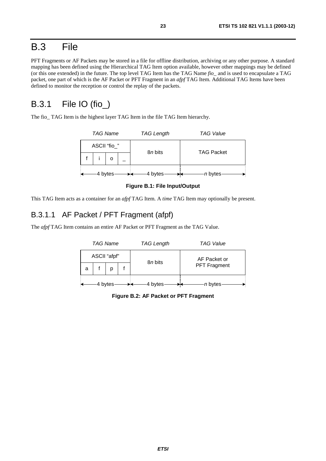# B.3 File

PFT Fragments or AF Packets may be stored in a file for offline distribution, archiving or any other purpose. A standard mapping has been defined using the Hierarchical TAG Item option available, however other mappings may be defined (or this one extended) in the future. The top level TAG Item has the TAG Name *fio\_* and is used to encapsulate a TAG packet, one part of which is the AF Packet or PFT Fragment in an *afpf* TAG Item. Additional TAG Items have been defined to monitor the reception or control the replay of the packets.

# B.3.1 File IO (fio\_)

The fio TAG Item is the highest layer TAG Item in the file TAG Item hierarchy.

| <b>TAG Name</b> |          | <b>TAG Length</b> | <b>TAG Value</b>  |
|-----------------|----------|-------------------|-------------------|
| ASCII "fio_"    |          | 8 <i>n</i> bits   | <b>TAG Packet</b> |
|                 |          |                   |                   |
|                 | 4 bytes- | 4 bytes           | n bytes-          |

**Figure B.1: File Input/Output** 

This TAG Item acts as a container for an *afpf* TAG Item. A *time* TAG Item may optionally be present.

#### B.3.1.1 AF Packet / PFT Fragment (afpf)

The *afpf* TAG Item contains an entire AF Packet or PFT Fragment as the TAG Value.

|   | <b>TAG Name</b> |         | <b>TAG Length</b> | <b>TAG Value</b>    |
|---|-----------------|---------|-------------------|---------------------|
|   | ASCII "afpf"    |         | 8 <i>n</i> bits   | AF Packet or        |
| a |                 |         |                   | <b>PFT Fragment</b> |
|   |                 | 4 bytes | 4 bytes           | n bytes             |

**Figure B.2: AF Packet or PFT Fragment**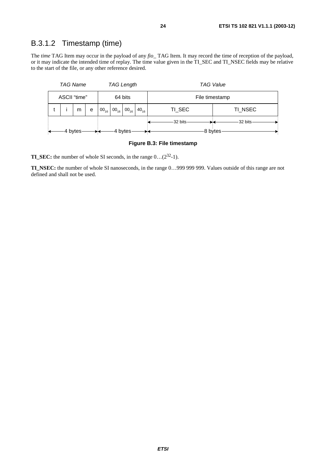### B.3.1.2 Timestamp (time)

The *time* TAG Item may occur in the payload of any *fio\_* TAG Item. It may record the time of reception of the payload, or it may indicate the intended time of replay. The time value given in the TI\_SEC and TI\_NSEC fields may be relative to the start of the file, or any other reference desired.

|                         | <b>TAG Name</b> |                |   | <b>TAG Length</b> |                            |           |           | <b>TAG Value</b> |         |  |
|-------------------------|-----------------|----------------|---|-------------------|----------------------------|-----------|-----------|------------------|---------|--|
| ASCII "time"<br>64 bits |                 | File timestamp |   |                   |                            |           |           |                  |         |  |
|                         |                 | m              | e |                   | $00_{16}$ 00 <sub>16</sub> | $00_{16}$ | $40_{16}$ | TI_SEC           | TI NSEC |  |
|                         |                 |                |   |                   |                            |           |           | -32 bits         | 32 bits |  |
| 4 bytes<br>4 bytes      |                 |                |   |                   |                            |           | 8 bytes   |                  |         |  |

#### **Figure B.3: File timestamp**

**TI\_SEC:** the number of whole SI seconds, in the range  $0...(2^{32}-1)$ .

**TI\_NSEC:** the number of whole SI nanoseconds, in the range 0…999 999 999. Values outside of this range are not defined and shall not be used.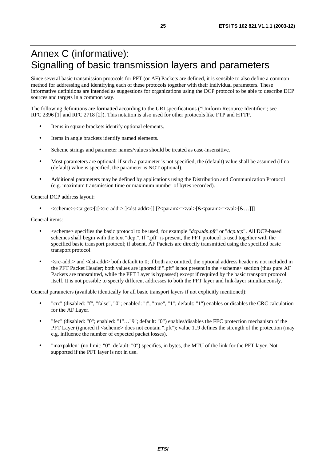# Annex C (informative): Signalling of basic transmission layers and parameters

Since several basic transmission protocols for PFT (or AF) Packets are defined, it is sensible to also define a common method for addressing and identifying each of these protocols together with their individual parameters. These informative definitions are intended as suggestions for organizations using the DCP protocol to be able to describe DCP sources and targets in a common way.

The following definitions are formatted according to the URI specifications ("Uniform Resource Identifier"; see RFC 2396 [1] and RFC 2718 [2]). This notation is also used for other protocols like FTP and HTTP.

- Items in square brackets identify optional elements.
- Items in angle brackets identify named elements.
- Scheme strings and parameter names/values should be treated as case-insensitive.
- Most parameters are optional; if such a parameter is not specified, the (default) value shall be assumed (if no (default) value is specified, the parameter is NOT optional).
- Additional parameters may be defined by applications using the Distribution and Communication Protocol (e.g. maximum transmission time or maximum number of bytes recorded).

General DCP address layout:

• <scheme>:<target>[:[<src-addr>:]<dst-addr>]] [?<param>=<val>[&<param>=<val>[&…]]]

General items:

- <scheme> specifies the basic protocol to be used, for example "*dcp.udp.pft*" or "*dcp.tcp*". All DCP-based schemes shall begin with the text "dcp.". If ".pft" is present, the PFT protocol is used together with the specified basic transport protocol; if absent, AF Packets are directly transmitted using the specified basic transport protocol.
- $\leq$  src-addr> and  $\leq$ dst-addr> both default to 0; if both are omitted, the optional address header is not included in the PFT Packet Header; both values are ignored if ".pft" is not present in the <scheme> section (thus pure AF Packets are transmitted, while the PFT Layer is bypassed) except if required by the basic transport protocol itself. It is not possible to specify different addresses to both the PFT layer and link-layer simultaneously.

General parameters (available identically for all basic transport layers if not explicitly mentioned):

- "crc" (disabled: "f", "false", "0"; enabled: "t", "true", "1"; default: "1") enables or disables the CRC calculation for the AF Layer.
- "fec" (disabled: "0"; enabled: "1"…"9"; default: "0") enables/disables the FEC protection mechanism of the PFT Layer (ignored if <scheme> does not contain ".pft"); value 1..9 defines the strength of the protection (may e.g. influence the number of expected packet losses).
- "maxpaklen" (no limit: "0"; default: "0") specifies, in bytes, the MTU of the link for the PFT layer. Not supported if the PFT layer is not in use.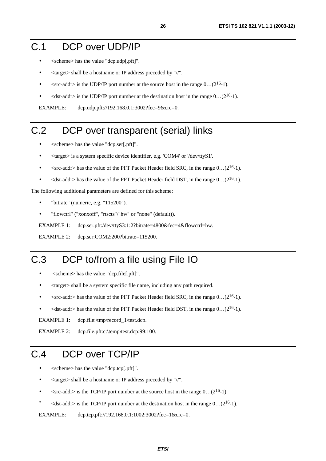# C.1 DCP over UDP/IP

- <scheme> has the value "dcp.udp[.pft]".
- <target> shall be a hostname or IP address preceded by "//".
- $\langle$ src-addr> is the UDP/IP port number at the source host in the range 0...(2<sup>16</sup>-1).
- $\lt$ dst-addr> is the UDP/IP port number at the destination host in the range 0...(2<sup>16</sup>-1).

EXAMPLE: dcp.udp.pft://192.168.0.1:3002?fec=9&crc=0.

# C.2 DCP over transparent (serial) links

- <scheme> has the value "dcp.ser[.pft]".
- <target> is a system specific device identifier, e.g. 'COM4' or '/dev/ttyS1'.
- $\leq$ src-addr> has the value of the PFT Packet Header field SRC, in the range 0...(2<sup>16</sup>-1).
- $\leq$ dst-addr> has the value of the PFT Packet Header field DST, in the range  $0 \dots (2^{16}-1)$ .

The following additional parameters are defined for this scheme:

- "bitrate" (numeric, e.g. "115200").
- "flowctrl" ("xonxoff", "rtscts"/"hw" or "none" (default)).

EXAMPLE 1: dcp.ser.pft:/dev/ttyS3:1:2?bitrate=4800&fec=4&flowctrl=hw.

EXAMPLE 2: dcp.ser:COM2:200?bitrate=115200.

# C.3 DCP to/from a file using File IO

- <scheme> has the value "dcp.file[.pft]".
- <target> shall be a system specific file name, including any path required.
- $\leq$ src-addr> has the value of the PFT Packet Header field SRC, in the range  $0 \dots (2^{16}-1)$ .
- $\leq$ dst-addr> has the value of the PFT Packet Header field DST, in the range 0...(2<sup>16</sup>-1).

EXAMPLE 1: dcp.file:/tmp/record\_1/test.dcp.

EXAMPLE 2: dcp.file.pft:c:\temp\test.dcp:99:100.

# C.4 DCP over TCP/IP

- <scheme> has the value "dcp.tcp[.pft]".
- <target> shall be a hostname or IP address preceded by "//".
- $\langle$ src-addr> is the TCP/IP port number at the source host in the range 0...(2<sup>16</sup>-1).
- $\leq$ dst-addr> is the TCP/IP port number at the destination host in the range 0...(2<sup>16</sup>-1).

EXAMPLE: dcp.tcp.pft://192.168.0.1:1002:3002?fec=1&crc=0.